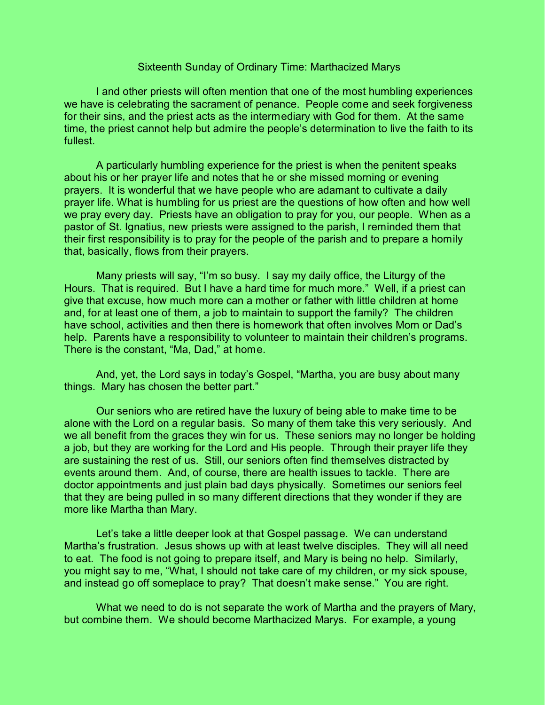## Sixteenth Sunday of Ordinary Time: Marthacized Marys

I and other priests will often mention that one of the most humbling experiences we have is celebrating the sacrament of penance. People come and seek forgiveness for their sins, and the priest acts as the intermediary with God for them. At the same time, the priest cannot help but admire the people's determination to live the faith to its fullest.

A particularly humbling experience for the priest is when the penitent speaks about his or her prayer life and notes that he or she missed morning or evening prayers. It is wonderful that we have people who are adamant to cultivate a daily prayer life. What is humbling for us priest are the questions of how often and how well we pray every day. Priests have an obligation to pray for you, our people. When as a pastor of St. Ignatius, new priests were assigned to the parish, I reminded them that their first responsibility is to pray for the people of the parish and to prepare a homily that, basically, flows from their prayers.

Many priests will say, "I'm so busy. I say my daily office, the Liturgy of the Hours. That is required. But I have a hard time for much more." Well, if a priest can give that excuse, how much more can a mother or father with little children at home and, for at least one of them, a job to maintain to support the family? The children have school, activities and then there is homework that often involves Mom or Dad's help. Parents have a responsibility to volunteer to maintain their children's programs. There is the constant, "Ma, Dad," at home.

And, yet, the Lord says in today's Gospel, "Martha, you are busy about many things. Mary has chosen the better part."

Our seniors who are retired have the luxury of being able to make time to be alone with the Lord on a regular basis. So many of them take this very seriously. And we all benefit from the graces they win for us. These seniors may no longer be holding a job, but they are working for the Lord and His people. Through their prayer life they are sustaining the rest of us. Still, our seniors often find themselves distracted by events around them. And, of course, there are health issues to tackle. There are doctor appointments and just plain bad days physically. Sometimes our seniors feel that they are being pulled in so many different directions that they wonder if they are more like Martha than Mary.

Let's take a little deeper look at that Gospel passage. We can understand Martha's frustration. Jesus shows up with at least twelve disciples. They will all need to eat. The food is not going to prepare itself, and Mary is being no help. Similarly, you might say to me, "What, I should not take care of my children, or my sick spouse, and instead go off someplace to pray? That doesn't make sense." You are right.

What we need to do is not separate the work of Martha and the prayers of Mary, but combine them. We should become Marthacized Marys. For example, a young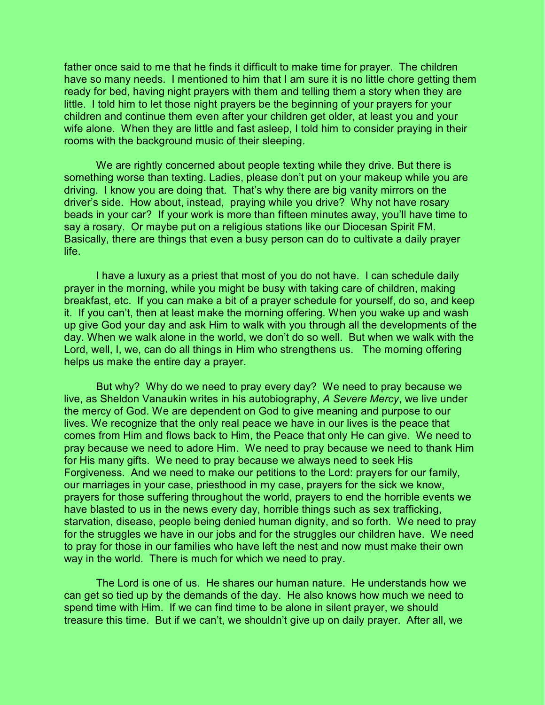father once said to me that he finds it difficult to make time for prayer. The children have so many needs. I mentioned to him that I am sure it is no little chore getting them ready for bed, having night prayers with them and telling them a story when they are little. I told him to let those night prayers be the beginning of your prayers for your children and continue them even after your children get older, at least you and your wife alone. When they are little and fast asleep, I told him to consider praying in their rooms with the background music of their sleeping.

We are rightly concerned about people texting while they drive. But there is something worse than texting. Ladies, please don't put on your makeup while you are driving. I know you are doing that. That's why there are big vanity mirrors on the driver's side. How about, instead, praying while you drive? Why not have rosary beads in your car? If your work is more than fifteen minutes away, you'll have time to say a rosary. Or maybe put on a religious stations like our Diocesan Spirit FM. Basically, there are things that even a busy person can do to cultivate a daily prayer life.

I have a luxury as a priest that most of you do not have. I can schedule daily prayer in the morning, while you might be busy with taking care of children, making breakfast, etc. If you can make a bit of a prayer schedule for yourself, do so, and keep it. If you can't, then at least make the morning offering. When you wake up and wash up give God your day and ask Him to walk with you through all the developments of the day. When we walk alone in the world, we don't do so well. But when we walk with the Lord, well, I, we, can do all things in Him who strengthens us. The morning offering helps us make the entire day a prayer.

But why? Why do we need to pray every day? We need to pray because we live, as Sheldon Vanaukin writes in his autobiography, *A Severe Mercy*, we live under the mercy of God. We are dependent on God to give meaning and purpose to our lives. We recognize that the only real peace we have in our lives is the peace that comes from Him and flows back to Him, the Peace that only He can give. We need to pray because we need to adore Him. We need to pray because we need to thank Him for His many gifts. We need to pray because we always need to seek His Forgiveness. And we need to make our petitions to the Lord: prayers for our family, our marriages in your case, priesthood in my case, prayers for the sick we know, prayers for those suffering throughout the world, prayers to end the horrible events we have blasted to us in the news every day, horrible things such as sex trafficking, starvation, disease, people being denied human dignity, and so forth. We need to pray for the struggles we have in our jobs and for the struggles our children have. We need to pray for those in our families who have left the nest and now must make their own way in the world. There is much for which we need to pray.

The Lord is one of us. He shares our human nature. He understands how we can get so tied up by the demands of the day. He also knows how much we need to spend time with Him. If we can find time to be alone in silent prayer, we should treasure this time. But if we can't, we shouldn't give up on daily prayer. After all, we